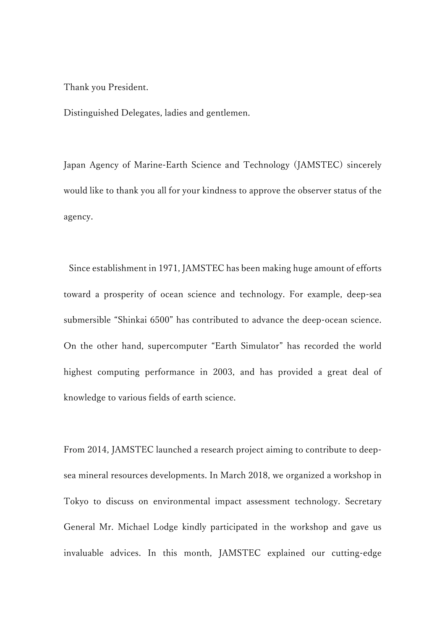Thank you President.

Distinguished Delegates, ladies and gentlemen.

Japan Agency of Marine-Earth Science and Technology (JAMSTEC) sincerely would like to thank you all for your kindness to approve the observer status of the agency.

Since establishment in 1971, JAMSTEC has been making huge amount of efforts toward a prosperity of ocean science and technology. For example, deep-sea submersible "Shinkai 6500" has contributed to advance the deep-ocean science. On the other hand, supercomputer "Earth Simulator" has recorded the world highest computing performance in 2003, and has provided a great deal of knowledge to various fields of earth science.

From 2014, JAMSTEC launched a research project aiming to contribute to deepsea mineral resources developments. In March 2018, we organized a workshop in Tokyo to discuss on environmental impact assessment technology. Secretary General Mr. Michael Lodge kindly participated in the workshop and gave us invaluable advices. In this month, JAMSTEC explained our cutting-edge